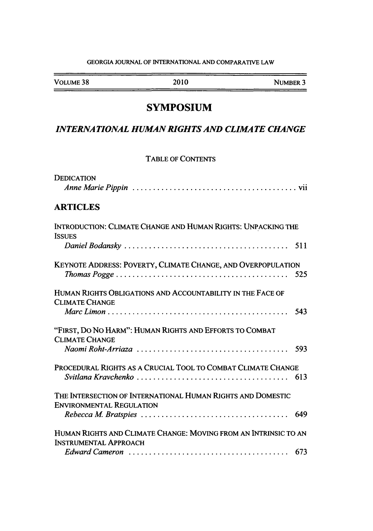#### GEORGIA JOURNAL OF INTERNATIONAL AND COMPARATIVE LAW

VOLUME 38 2010 NUMBER 3 --

——

## **SYMPOSIUM**

### *INTERNATIONAL HUMAN RIGHTS AND CLIMATE CHANGE*

### TABLE OF **CONTENTS**

| <b>DEDICATION</b>                                                                                                                                                         |     |
|---------------------------------------------------------------------------------------------------------------------------------------------------------------------------|-----|
|                                                                                                                                                                           |     |
| <b>ARTICLES</b>                                                                                                                                                           |     |
| INTRODUCTION: CLIMATE CHANGE AND HUMAN RIGHTS: UNPACKING THE<br><b>ISSUES</b>                                                                                             |     |
|                                                                                                                                                                           | 511 |
| KEYNOTE ADDRESS: POVERTY, CLIMATE CHANGE, AND OVERPOPULATION<br>$Thomas Pogge \ldots \ldots \ldots \ldots \ldots \ldots \ldots \ldots \ldots \ldots \ldots \ldots \ldots$ | 525 |
| HUMAN RIGHTS OBLIGATIONS AND ACCOUNTABILITY IN THE FACE OF<br><b>CLIMATE CHANGE</b>                                                                                       |     |
|                                                                                                                                                                           | 543 |
| "FIRST, DO NO HARM": HUMAN RIGHTS AND EFFORTS TO COMBAT<br><b>CLIMATE CHANGE</b>                                                                                          |     |
|                                                                                                                                                                           |     |
| PROCEDURAL RIGHTS AS A CRUCIAL TOOL TO COMBAT CLIMATE CHANGE                                                                                                              | 613 |
| THE INTERSECTION OF INTERNATIONAL HUMAN RIGHTS AND DOMESTIC<br><b>ENVIRONMENTAL REGULATION</b>                                                                            |     |
|                                                                                                                                                                           |     |
| HUMAN RIGHTS AND CLIMATE CHANGE: MOVING FROM AN INTRINSIC TO AN<br><b>INSTRUMENTAL APPROACH</b>                                                                           |     |
|                                                                                                                                                                           |     |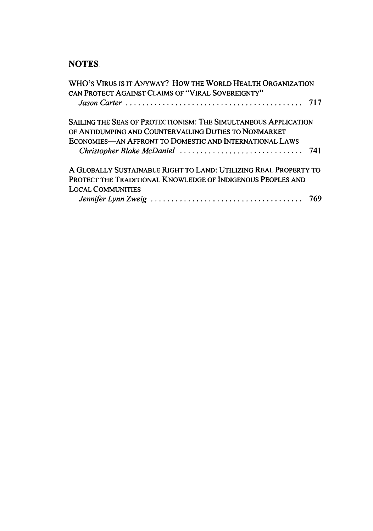# **NOTES**

| WHO'S VIRUS IS IT ANYWAY? HOW THE WORLD HEALTH ORGANIZATION<br>CAN PROTECT AGAINST CLAIMS OF "VIRAL SOVEREIGNTY" |  |
|------------------------------------------------------------------------------------------------------------------|--|
|                                                                                                                  |  |
| SAILING THE SEAS OF PROTECTIONISM: THE SIMULTANEOUS APPLICATION                                                  |  |
| OF ANTIDUMPING AND COUNTERVAILING DUTIES TO NONMARKET                                                            |  |
| ECONOMIES-AN AFFRONT TO DOMESTIC AND INTERNATIONAL LAWS                                                          |  |
|                                                                                                                  |  |
| A GLOBALLY SUSTAINABLE RIGHT TO LAND: UTILIZING REAL PROPERTY TO                                                 |  |
| PROTECT THE TRADITIONAL KNOWLEDGE OF INDIGENOUS PEOPLES AND                                                      |  |
| <b>LOCAL COMMUNITIES</b>                                                                                         |  |
|                                                                                                                  |  |
|                                                                                                                  |  |